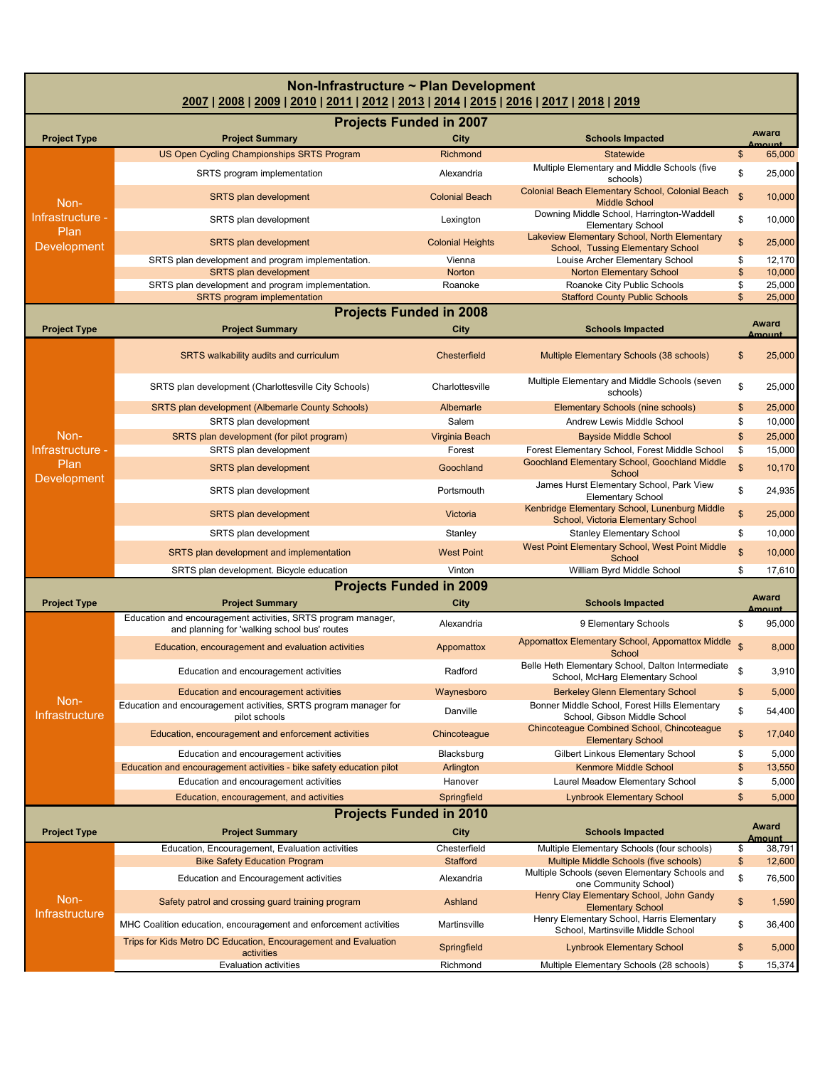| Non-Infrastructure ~ Plan Development<br>2007   2008   2009   2010   2011   2012   2013   2014   2015   2016   2017   2018   2019 |                                                                                                               |                         |                                                                                       |                     |                               |  |
|-----------------------------------------------------------------------------------------------------------------------------------|---------------------------------------------------------------------------------------------------------------|-------------------------|---------------------------------------------------------------------------------------|---------------------|-------------------------------|--|
|                                                                                                                                   | <b>Projects Funded in 2007</b>                                                                                |                         |                                                                                       |                     |                               |  |
| <b>Project Type</b>                                                                                                               | <b>Project Summary</b>                                                                                        | City                    | <b>Schools Impacted</b>                                                               |                     | Award<br><b>Imount</b>        |  |
|                                                                                                                                   | US Open Cycling Championships SRTS Program                                                                    | Richmond                | <b>Statewide</b>                                                                      | \$                  | 65,000                        |  |
|                                                                                                                                   | SRTS program implementation                                                                                   | Alexandria              | Multiple Elementary and Middle Schools (five<br>schools)                              | \$                  | 25,000                        |  |
| Non-                                                                                                                              | <b>SRTS plan development</b>                                                                                  | <b>Colonial Beach</b>   | Colonial Beach Elementary School, Colonial Beach<br><b>Middle School</b>              | $\mathsf{\$}$       | 10,000                        |  |
| Infrastructure -<br>Plan                                                                                                          | SRTS plan development                                                                                         | Lexington               | Downing Middle School, Harrington-Waddell<br><b>Elementary School</b>                 | \$                  | 10,000                        |  |
| Development                                                                                                                       | <b>SRTS plan development</b>                                                                                  | <b>Colonial Heights</b> | Lakeview Elementary School, North Elementary<br>School, Tussing Elementary School     | \$                  | 25,000                        |  |
|                                                                                                                                   | SRTS plan development and program implementation.                                                             | Vienna                  | Louise Archer Elementary School                                                       | \$                  | 12,170                        |  |
|                                                                                                                                   | <b>SRTS plan development</b><br>SRTS plan development and program implementation.                             | Norton<br>Roanoke       | <b>Norton Elementary School</b><br>Roanoke City Public Schools                        | \$<br>\$            | 10,000<br>25,000              |  |
|                                                                                                                                   | SRTS program implementation                                                                                   |                         | <b>Stafford County Public Schools</b>                                                 | \$                  | 25,000                        |  |
|                                                                                                                                   | <b>Projects Funded in 2008</b>                                                                                |                         |                                                                                       |                     |                               |  |
|                                                                                                                                   |                                                                                                               |                         |                                                                                       |                     | <b>Award</b>                  |  |
| <b>Project Type</b>                                                                                                               | <b>Project Summary</b>                                                                                        | City                    | <b>Schools Impacted</b>                                                               |                     | Amount                        |  |
|                                                                                                                                   | SRTS walkability audits and curriculum                                                                        | Chesterfield            | Multiple Elementary Schools (38 schools)                                              | \$                  | 25,000                        |  |
|                                                                                                                                   | SRTS plan development (Charlottesville City Schools)                                                          | Charlottesville         | Multiple Elementary and Middle Schools (seven<br>schools)                             | \$                  | 25,000                        |  |
|                                                                                                                                   | SRTS plan development (Albemarle County Schools)                                                              | Albemarle               | Elementary Schools (nine schools)                                                     | \$                  | 25,000                        |  |
|                                                                                                                                   | SRTS plan development                                                                                         | Salem                   | Andrew Lewis Middle School                                                            | \$                  | 10,000                        |  |
| Non-                                                                                                                              | SRTS plan development (for pilot program)                                                                     | Virginia Beach          | <b>Bayside Middle School</b>                                                          | \$                  | 25,000                        |  |
| Infrastructure -                                                                                                                  | SRTS plan development                                                                                         | Forest                  | Forest Elementary School, Forest Middle School                                        | \$                  | 15,000                        |  |
| Plan<br><b>Development</b>                                                                                                        | <b>SRTS</b> plan development                                                                                  | Goochland               | Goochland Elementary School, Goochland Middle<br>School                               | $\mathbb{S}$        | 10,170                        |  |
|                                                                                                                                   | SRTS plan development                                                                                         | Portsmouth              | James Hurst Elementary School, Park View<br><b>Elementary School</b>                  | \$                  | 24,935                        |  |
|                                                                                                                                   | <b>SRTS plan development</b>                                                                                  | Victoria                | Kenbridge Elementary School, Lunenburg Middle<br>School, Victoria Elementary School   | $\mathsf{\$}$       | 25,000                        |  |
|                                                                                                                                   | SRTS plan development                                                                                         | Stanley                 | <b>Stanley Elementary School</b>                                                      | \$                  | 10,000                        |  |
|                                                                                                                                   | SRTS plan development and implementation                                                                      | <b>West Point</b>       | West Point Elementary School, West Point Middle<br>School                             | $\mathfrak{L}$      | 10,000                        |  |
|                                                                                                                                   | SRTS plan development. Bicycle education                                                                      | Vinton                  | William Byrd Middle School                                                            | \$                  | 17,610                        |  |
|                                                                                                                                   | <b>Projects Funded in 2009</b>                                                                                |                         |                                                                                       |                     |                               |  |
| <b>Project Type</b>                                                                                                               | <b>Project Summary</b>                                                                                        | City                    | <b>Schools Impacted</b>                                                               |                     | <b>Award</b><br><b>Amount</b> |  |
|                                                                                                                                   | Education and encouragement activities, SRTS program manager,<br>and planning for 'walking school bus' routes | Alexandria              | 9 Elementary Schools                                                                  | \$                  | 95,000                        |  |
|                                                                                                                                   | Education, encouragement and evaluation activities                                                            | Appomattox              | Appomattox Elementary School, Appomattox Middle<br>School                             | $\hat{\mathcal{S}}$ | 8,000                         |  |
|                                                                                                                                   | Education and encouragement activities                                                                        | Radford                 | Belle Heth Elementary School, Dalton Intermediate<br>School, McHarg Elementary School |                     | 3,910                         |  |
|                                                                                                                                   | Education and encouragement activities                                                                        | Waynesboro              | <b>Berkeley Glenn Elementary School</b>                                               | \$                  | 5,000                         |  |
| Non-<br>Infrastructure                                                                                                            | Education and encouragement activities, SRTS program manager for<br>pilot schools                             | Danville                | Bonner Middle School, Forest Hills Elementary<br>School, Gibson Middle School         | \$                  | 54,400                        |  |
|                                                                                                                                   | Education, encouragement and enforcement activities                                                           | Chincoteague            | Chincoteague Combined School, Chincoteague<br><b>Elementary School</b>                | \$                  | 17,040                        |  |
|                                                                                                                                   | Education and encouragement activities                                                                        | Blacksburg              | Gilbert Linkous Elementary School                                                     | \$                  | 5,000                         |  |
|                                                                                                                                   | Education and encouragement activities - bike safety education pilot                                          | Arlington               | <b>Kenmore Middle School</b>                                                          | \$                  | 13,550                        |  |
|                                                                                                                                   | Education and encouragement activities                                                                        | Hanover                 | Laurel Meadow Elementary School                                                       | \$                  | 5,000                         |  |
|                                                                                                                                   | Education, encouragement, and activities                                                                      | Springfield             | <b>Lynbrook Elementary School</b>                                                     | $\mathsf{\$}$       | 5,000                         |  |
|                                                                                                                                   | <b>Projects Funded in 2010</b>                                                                                |                         |                                                                                       |                     |                               |  |
| <b>Project Type</b>                                                                                                               | <b>Project Summary</b>                                                                                        | City                    | <b>Schools Impacted</b>                                                               |                     | Award                         |  |
|                                                                                                                                   | Education, Encouragement, Evaluation activities                                                               | Chesterfield            | Multiple Elementary Schools (four schools)                                            | \$                  | Amount<br>38,791              |  |
|                                                                                                                                   | <b>Bike Safety Education Program</b>                                                                          | <b>Stafford</b>         | Multiple Middle Schools (five schools)                                                | \$                  | 12,600                        |  |
|                                                                                                                                   | <b>Education and Encouragement activities</b>                                                                 | Alexandria              | Multiple Schools (seven Elementary Schools and<br>one Community School)               | \$                  | 76,500                        |  |
| Non-<br><b>Infrastructure</b>                                                                                                     | Safety patrol and crossing guard training program                                                             | Ashland                 | Henry Clay Elementary School, John Gandy<br><b>Elementary School</b>                  | \$                  | 1,590                         |  |
|                                                                                                                                   | MHC Coalition education, encouragement and enforcement activities                                             | Martinsville            | Henry Elementary School, Harris Elementary<br>School, Martinsville Middle School      | \$                  | 36,400                        |  |
|                                                                                                                                   | Trips for Kids Metro DC Education, Encouragement and Evaluation<br>activities                                 | Springfield             | <b>Lynbrook Elementary School</b>                                                     | \$                  | 5,000                         |  |
|                                                                                                                                   | <b>Evaluation activities</b>                                                                                  | Richmond                | Multiple Elementary Schools (28 schools)                                              | \$                  | 15,374                        |  |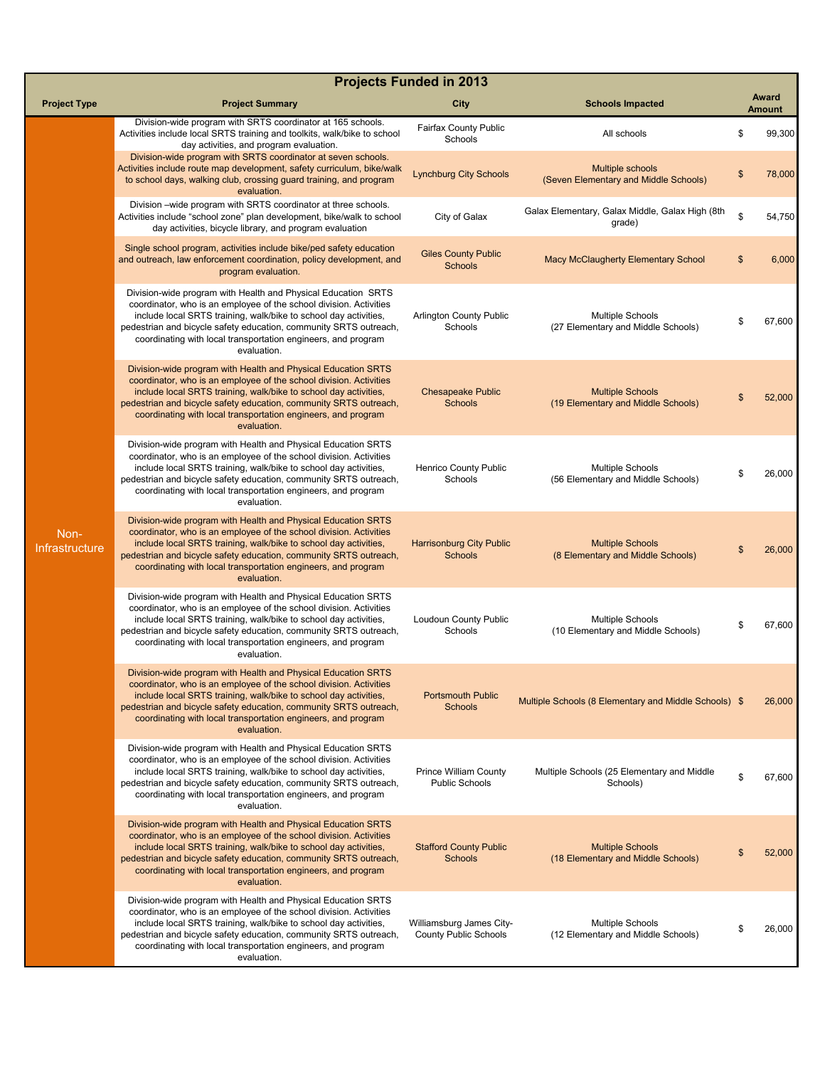<span id="page-1-0"></span>

| <b>Projects Funded in 2013</b> |                                                                                                                                                                                                                                                                                                                                                              |                                                          |                                                               |    |                               |
|--------------------------------|--------------------------------------------------------------------------------------------------------------------------------------------------------------------------------------------------------------------------------------------------------------------------------------------------------------------------------------------------------------|----------------------------------------------------------|---------------------------------------------------------------|----|-------------------------------|
| <b>Project Type</b>            | <b>Project Summary</b>                                                                                                                                                                                                                                                                                                                                       | City                                                     | <b>Schools Impacted</b>                                       |    | <b>Award</b><br><b>Amount</b> |
|                                | Division-wide program with SRTS coordinator at 165 schools.<br>Activities include local SRTS training and toolkits, walk/bike to school<br>day activities, and program evaluation.                                                                                                                                                                           | Fairfax County Public<br>Schools                         | All schools                                                   | \$ | 99,300                        |
|                                | Division-wide program with SRTS coordinator at seven schools.<br>Activities include route map development, safety curriculum, bike/walk<br>to school days, walking club, crossing guard training, and program<br>evaluation.                                                                                                                                 | <b>Lynchburg City Schools</b>                            | Multiple schools<br>(Seven Elementary and Middle Schools)     | \$ | 78,000                        |
|                                | Division - wide program with SRTS coordinator at three schools.<br>Activities include "school zone" plan development, bike/walk to school<br>day activities, bicycle library, and program evaluation                                                                                                                                                         | City of Galax                                            | Galax Elementary, Galax Middle, Galax High (8th<br>grade)     | \$ | 54,750                        |
|                                | Single school program, activities include bike/ped safety education<br>and outreach, law enforcement coordination, policy development, and<br>program evaluation.                                                                                                                                                                                            | <b>Giles County Public</b><br><b>Schools</b>             | <b>Macy McClaugherty Elementary School</b>                    | \$ | 6,000                         |
|                                | Division-wide program with Health and Physical Education SRTS<br>coordinator, who is an employee of the school division. Activities<br>include local SRTS training, walk/bike to school day activities,<br>pedestrian and bicycle safety education, community SRTS outreach,<br>coordinating with local transportation engineers, and program<br>evaluation. | <b>Arlington County Public</b><br>Schools                | <b>Multiple Schools</b><br>(27 Elementary and Middle Schools) | \$ | 67,600                        |
|                                | Division-wide program with Health and Physical Education SRTS<br>coordinator, who is an employee of the school division. Activities<br>include local SRTS training, walk/bike to school day activities,<br>pedestrian and bicycle safety education, community SRTS outreach,<br>coordinating with local transportation engineers, and program<br>evaluation. | <b>Chesapeake Public</b><br><b>Schools</b>               | <b>Multiple Schools</b><br>(19 Elementary and Middle Schools) | \$ | 52,000                        |
|                                | Division-wide program with Health and Physical Education SRTS<br>coordinator, who is an employee of the school division. Activities<br>include local SRTS training, walk/bike to school day activities,<br>pedestrian and bicycle safety education, community SRTS outreach,<br>coordinating with local transportation engineers, and program<br>evaluation. | <b>Henrico County Public</b><br>Schools                  | <b>Multiple Schools</b><br>(56 Elementary and Middle Schools) | \$ | 26,000                        |
| Non-<br>Infrastructure         | Division-wide program with Health and Physical Education SRTS<br>coordinator, who is an employee of the school division. Activities<br>include local SRTS training, walk/bike to school day activities,<br>pedestrian and bicycle safety education, community SRTS outreach,<br>coordinating with local transportation engineers, and program<br>evaluation. | <b>Harrisonburg City Public</b><br><b>Schools</b>        | <b>Multiple Schools</b><br>(8 Elementary and Middle Schools)  | \$ | 26,000                        |
|                                | Division-wide program with Health and Physical Education SRTS<br>coordinator, who is an employee of the school division. Activities<br>include local SRTS training, walk/bike to school day activities,<br>pedestrian and bicycle safety education, community SRTS outreach,<br>coordinating with local transportation engineers, and program<br>evaluation. | Loudoun County Public<br>Schools                         | <b>Multiple Schools</b><br>(10 Elementary and Middle Schools) | \$ | 67,600                        |
|                                | Division-wide program with Health and Physical Education SRTS<br>coordinator, who is an employee of the school division. Activities<br>include local SRTS training, walk/bike to school day activities,<br>pedestrian and bicycle safety education, community SRTS outreach,<br>coordinating with local transportation engineers, and program<br>evaluation. | <b>Portsmouth Public</b><br>Schools                      | Multiple Schools (8 Elementary and Middle Schools) \$         |    | 26,000                        |
|                                | Division-wide program with Health and Physical Education SRTS<br>coordinator, who is an employee of the school division. Activities<br>include local SRTS training, walk/bike to school day activities,<br>pedestrian and bicycle safety education, community SRTS outreach,<br>coordinating with local transportation engineers, and program<br>evaluation. | <b>Prince William County</b><br><b>Public Schools</b>    | Multiple Schools (25 Elementary and Middle<br>Schools)        | \$ | 67,600                        |
|                                | Division-wide program with Health and Physical Education SRTS<br>coordinator, who is an employee of the school division. Activities<br>include local SRTS training, walk/bike to school day activities,<br>pedestrian and bicycle safety education, community SRTS outreach,<br>coordinating with local transportation engineers, and program<br>evaluation. | <b>Stafford County Public</b><br><b>Schools</b>          | <b>Multiple Schools</b><br>(18 Elementary and Middle Schools) |    | 52,000                        |
|                                | Division-wide program with Health and Physical Education SRTS<br>coordinator, who is an employee of the school division. Activities<br>include local SRTS training, walk/bike to school day activities,<br>pedestrian and bicycle safety education, community SRTS outreach,<br>coordinating with local transportation engineers, and program<br>evaluation. | Williamsburg James City-<br><b>County Public Schools</b> | <b>Multiple Schools</b><br>(12 Elementary and Middle Schools) | \$ | 26,000                        |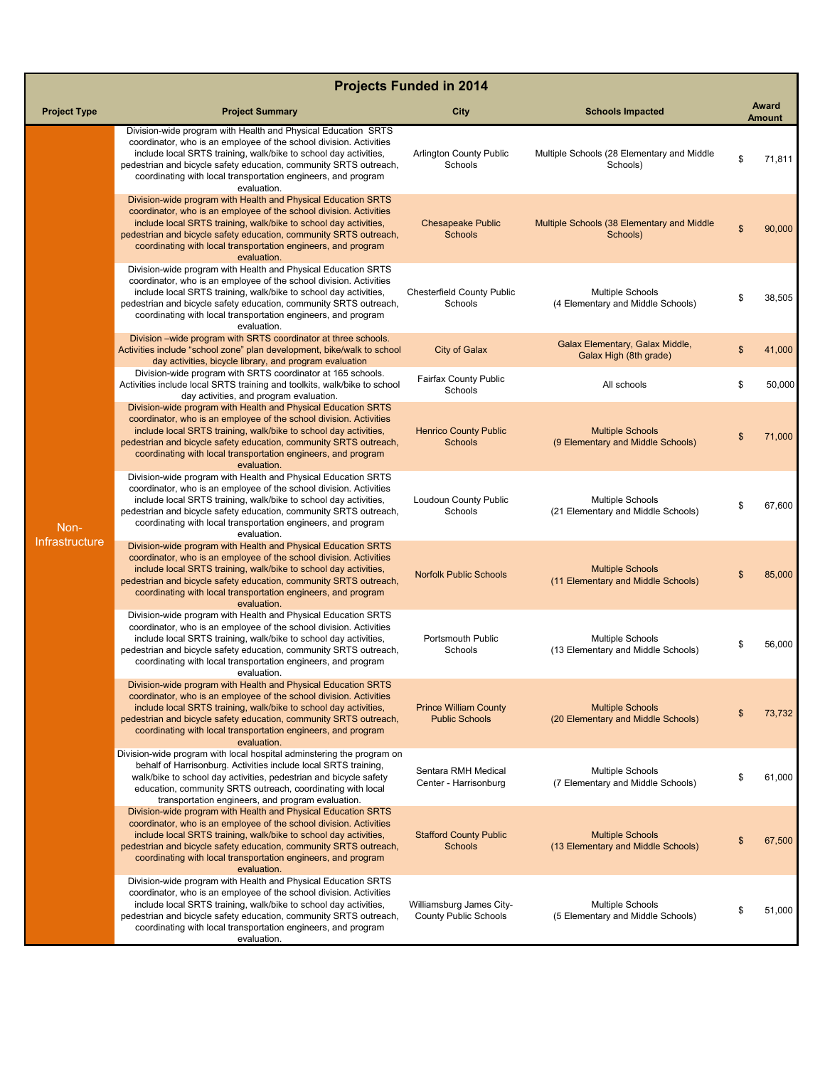| <b>Projects Funded in 2014</b> |  |  |
|--------------------------------|--|--|
|--------------------------------|--|--|

<span id="page-2-0"></span>

|                     |                                                                                                                                                                                                                                                                                                                                                              | Projects Funded in 2014                                  |                                                               |    |                        |
|---------------------|--------------------------------------------------------------------------------------------------------------------------------------------------------------------------------------------------------------------------------------------------------------------------------------------------------------------------------------------------------------|----------------------------------------------------------|---------------------------------------------------------------|----|------------------------|
| <b>Project Type</b> | <b>Project Summary</b>                                                                                                                                                                                                                                                                                                                                       | City                                                     | <b>Schools Impacted</b>                                       |    | Award<br><b>Amount</b> |
|                     | Division-wide program with Health and Physical Education SRTS<br>coordinator, who is an employee of the school division. Activities<br>include local SRTS training, walk/bike to school day activities,<br>pedestrian and bicycle safety education, community SRTS outreach,<br>coordinating with local transportation engineers, and program<br>evaluation. | <b>Arlington County Public</b><br>Schools                | Multiple Schools (28 Elementary and Middle<br>Schools)        | \$ | 71,811                 |
|                     | Division-wide program with Health and Physical Education SRTS<br>coordinator, who is an employee of the school division. Activities<br>include local SRTS training, walk/bike to school day activities,<br>pedestrian and bicycle safety education, community SRTS outreach,<br>coordinating with local transportation engineers, and program<br>evaluation. | <b>Chesapeake Public</b><br><b>Schools</b>               | Multiple Schools (38 Elementary and Middle<br>Schools)        | \$ | 90,000                 |
|                     | Division-wide program with Health and Physical Education SRTS<br>coordinator, who is an employee of the school division. Activities<br>include local SRTS training, walk/bike to school day activities,<br>pedestrian and bicycle safety education, community SRTS outreach,<br>coordinating with local transportation engineers, and program<br>evaluation. | <b>Chesterfield County Public</b><br>Schools             | <b>Multiple Schools</b><br>(4 Elementary and Middle Schools)  | S  | 38,505                 |
|                     | Division - wide program with SRTS coordinator at three schools.<br>Activities include "school zone" plan development, bike/walk to school<br>day activities, bicycle library, and program evaluation                                                                                                                                                         | <b>City of Galax</b>                                     | Galax Elementary, Galax Middle,<br>Galax High (8th grade)     | \$ | 41,000                 |
|                     | Division-wide program with SRTS coordinator at 165 schools.<br>Activities include local SRTS training and toolkits, walk/bike to school<br>day activities, and program evaluation.                                                                                                                                                                           | <b>Fairfax County Public</b><br>Schools                  | All schools                                                   | \$ | 50,000                 |
| Non-                | Division-wide program with Health and Physical Education SRTS<br>coordinator, who is an employee of the school division. Activities<br>include local SRTS training, walk/bike to school day activities,<br>pedestrian and bicycle safety education, community SRTS outreach,<br>coordinating with local transportation engineers, and program<br>evaluation. | <b>Henrico County Public</b><br><b>Schools</b>           | <b>Multiple Schools</b><br>(9 Elementary and Middle Schools)  | S  | 71,000                 |
|                     | Division-wide program with Health and Physical Education SRTS<br>coordinator, who is an employee of the school division. Activities<br>include local SRTS training, walk/bike to school day activities,<br>pedestrian and bicycle safety education, community SRTS outreach,<br>coordinating with local transportation engineers, and program<br>evaluation. | Loudoun County Public<br>Schools                         | <b>Multiple Schools</b><br>(21 Elementary and Middle Schools) | \$ | 67,600                 |
| Infrastructure      | Division-wide program with Health and Physical Education SRTS<br>coordinator, who is an employee of the school division. Activities<br>include local SRTS training, walk/bike to school day activities,<br>pedestrian and bicycle safety education, community SRTS outreach,<br>coordinating with local transportation engineers, and program<br>evaluation. | <b>Norfolk Public Schools</b>                            | <b>Multiple Schools</b><br>(11 Elementary and Middle Schools) | \$ | 85,000                 |
|                     | Division-wide program with Health and Physical Education SRTS<br>coordinator, who is an employee of the school division. Activities<br>include local SRTS training, walk/bike to school day activities,<br>pedestrian and bicycle safety education, community SRTS outreach,<br>coordinating with local transportation engineers, and program<br>evaluation. | Portsmouth Public<br>Schools                             | <b>Multiple Schools</b><br>(13 Elementary and Middle Schools) | \$ | 56,000                 |
|                     | Division-wide program with Health and Physical Education SRTS<br>coordinator, who is an employee of the school division. Activities<br>include local SRTS training, walk/bike to school day activities,<br>pedestrian and bicycle safety education, community SRTS outreach,<br>coordinating with local transportation engineers, and program<br>evaluation. | <b>Prince William County</b><br><b>Public Schools</b>    | <b>Multiple Schools</b><br>(20 Elementary and Middle Schools) |    | 73,732                 |
|                     | Division-wide program with local hospital adminstering the program on<br>behalf of Harrisonburg. Activities include local SRTS training,<br>walk/bike to school day activities, pedestrian and bicycle safety<br>education, community SRTS outreach, coordinating with local<br>transportation engineers, and program evaluation.                            | Sentara RMH Medical<br>Center - Harrisonburg             | Multiple Schools<br>(7 Elementary and Middle Schools)         | \$ | 61,000                 |
|                     | Division-wide program with Health and Physical Education SRTS<br>coordinator, who is an employee of the school division. Activities<br>include local SRTS training, walk/bike to school day activities,<br>pedestrian and bicycle safety education, community SRTS outreach,<br>coordinating with local transportation engineers, and program<br>evaluation. | <b>Stafford County Public</b><br><b>Schools</b>          | <b>Multiple Schools</b><br>(13 Elementary and Middle Schools) |    | 67,500                 |
|                     | Division-wide program with Health and Physical Education SRTS<br>coordinator, who is an employee of the school division. Activities<br>include local SRTS training, walk/bike to school day activities,<br>pedestrian and bicycle safety education, community SRTS outreach,<br>coordinating with local transportation engineers, and program<br>evaluation. | Williamsburg James City-<br><b>County Public Schools</b> | <b>Multiple Schools</b><br>(5 Elementary and Middle Schools)  |    | 51,000                 |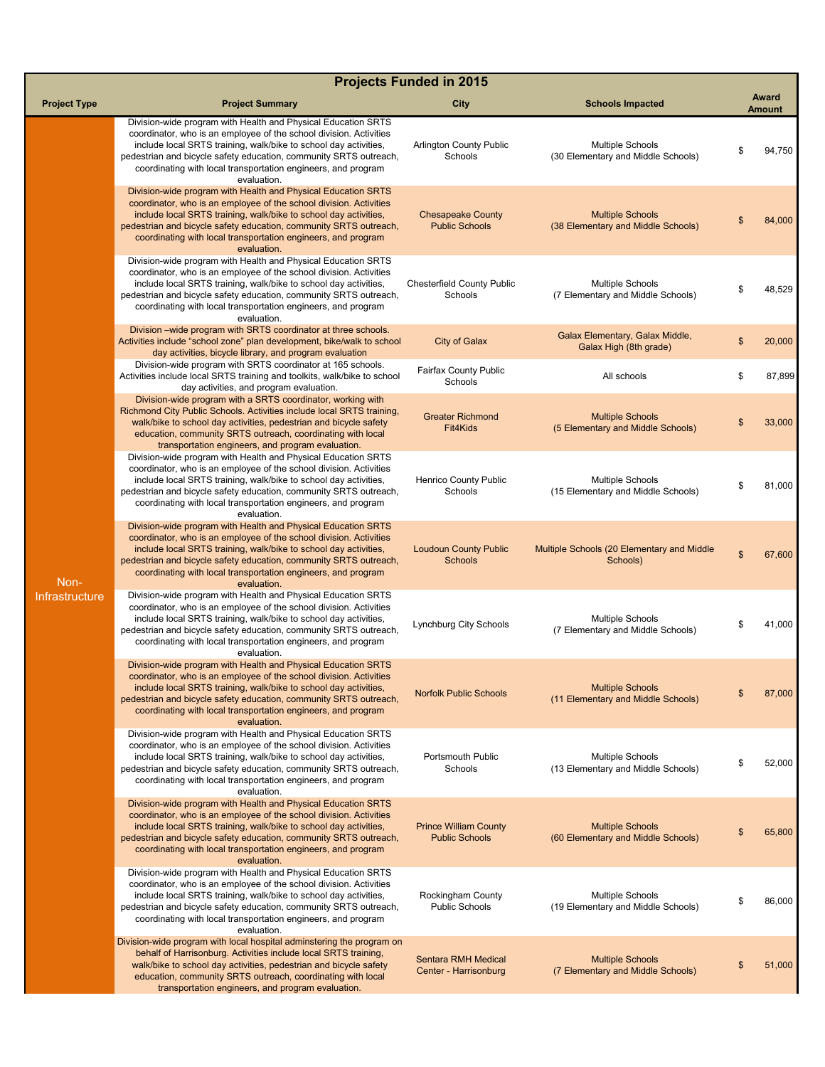<span id="page-3-0"></span>

| <b>Projects Funded in 2015</b> |                                                                                                                                                                                                                                                                                                                                                              |                                                       |                                                               |    |                               |
|--------------------------------|--------------------------------------------------------------------------------------------------------------------------------------------------------------------------------------------------------------------------------------------------------------------------------------------------------------------------------------------------------------|-------------------------------------------------------|---------------------------------------------------------------|----|-------------------------------|
| <b>Project Type</b>            | <b>Project Summary</b>                                                                                                                                                                                                                                                                                                                                       | City                                                  | <b>Schools Impacted</b>                                       |    | <b>Award</b><br><b>Amount</b> |
|                                | Division-wide program with Health and Physical Education SRTS<br>coordinator, who is an employee of the school division. Activities<br>include local SRTS training, walk/bike to school day activities,<br>pedestrian and bicycle safety education, community SRTS outreach,<br>coordinating with local transportation engineers, and program<br>evaluation. | <b>Arlington County Public</b><br>Schools             | <b>Multiple Schools</b><br>(30 Elementary and Middle Schools) | S  | 94,750                        |
|                                | Division-wide program with Health and Physical Education SRTS<br>coordinator, who is an employee of the school division. Activities<br>include local SRTS training, walk/bike to school day activities,<br>pedestrian and bicycle safety education, community SRTS outreach,<br>coordinating with local transportation engineers, and program<br>evaluation. | <b>Chesapeake County</b><br><b>Public Schools</b>     | <b>Multiple Schools</b><br>(38 Elementary and Middle Schools) |    | 84,000                        |
|                                | Division-wide program with Health and Physical Education SRTS<br>coordinator, who is an employee of the school division. Activities<br>include local SRTS training, walk/bike to school day activities,<br>pedestrian and bicycle safety education, community SRTS outreach,<br>coordinating with local transportation engineers, and program<br>evaluation. | <b>Chesterfield County Public</b><br>Schools          | <b>Multiple Schools</b><br>(7 Elementary and Middle Schools)  | \$ | 48,529                        |
|                                | Division -wide program with SRTS coordinator at three schools.<br>Activities include "school zone" plan development, bike/walk to school<br>day activities, bicycle library, and program evaluation                                                                                                                                                          | <b>City of Galax</b>                                  | Galax Elementary, Galax Middle,<br>Galax High (8th grade)     | \$ | 20,000                        |
|                                | Division-wide program with SRTS coordinator at 165 schools.<br>Activities include local SRTS training and toolkits, walk/bike to school<br>day activities, and program evaluation.                                                                                                                                                                           | <b>Fairfax County Public</b><br>Schools               | All schools                                                   | \$ | 87,899                        |
|                                | Division-wide program with a SRTS coordinator, working with<br>Richmond City Public Schools. Activities include local SRTS training,<br>walk/bike to school day activities, pedestrian and bicycle safety<br>education, community SRTS outreach, coordinating with local<br>transportation engineers, and program evaluation.                                | <b>Greater Richmond</b><br>Fit4Kids                   | <b>Multiple Schools</b><br>(5 Elementary and Middle Schools)  | \$ | 33,000                        |
|                                | Division-wide program with Health and Physical Education SRTS<br>coordinator, who is an employee of the school division. Activities<br>include local SRTS training, walk/bike to school day activities,<br>pedestrian and bicycle safety education, community SRTS outreach,<br>coordinating with local transportation engineers, and program<br>evaluation. | <b>Henrico County Public</b><br>Schools               | <b>Multiple Schools</b><br>(15 Elementary and Middle Schools) | \$ | 81,000                        |
| Non-                           | Division-wide program with Health and Physical Education SRTS<br>coordinator, who is an employee of the school division. Activities<br>include local SRTS training, walk/bike to school day activities,<br>pedestrian and bicycle safety education, community SRTS outreach,<br>coordinating with local transportation engineers, and program<br>evaluation. | <b>Loudoun County Public</b><br><b>Schools</b>        | Multiple Schools (20 Elementary and Middle<br>Schools)        | \$ | 67,600                        |
| Infrastructure                 | Division-wide program with Health and Physical Education SRTS<br>coordinator, who is an employee of the school division. Activities<br>include local SRTS training, walk/bike to school day activities,<br>pedestrian and bicycle safety education, community SRTS outreach,<br>coordinating with local transportation engineers, and program<br>evaluation. | Lynchburg City Schools                                | <b>Multiple Schools</b><br>(7 Elementary and Middle Schools)  |    | 41,000                        |
|                                | Division-wide program with Health and Physical Education SRTS<br>coordinator, who is an employee of the school division. Activities<br>include local SRTS training, walk/bike to school day activities,<br>pedestrian and bicycle safety education, community SRTS outreach,<br>coordinating with local transportation engineers, and program<br>evaluation. | <b>Norfolk Public Schools</b>                         | <b>Multiple Schools</b><br>(11 Elementary and Middle Schools) |    | 87,000                        |
|                                | Division-wide program with Health and Physical Education SRTS<br>coordinator, who is an employee of the school division. Activities<br>include local SRTS training, walk/bike to school day activities,<br>pedestrian and bicycle safety education, community SRTS outreach,<br>coordinating with local transportation engineers, and program<br>evaluation. | Portsmouth Public<br>Schools                          | <b>Multiple Schools</b><br>(13 Elementary and Middle Schools) | S  | 52,000                        |
|                                | Division-wide program with Health and Physical Education SRTS<br>coordinator, who is an employee of the school division. Activities<br>include local SRTS training, walk/bike to school day activities,<br>pedestrian and bicycle safety education, community SRTS outreach,<br>coordinating with local transportation engineers, and program<br>evaluation. | <b>Prince William County</b><br><b>Public Schools</b> | <b>Multiple Schools</b><br>(60 Elementary and Middle Schools) |    | 65,800                        |
|                                | Division-wide program with Health and Physical Education SRTS<br>coordinator, who is an employee of the school division. Activities<br>include local SRTS training, walk/bike to school day activities,<br>pedestrian and bicycle safety education, community SRTS outreach,<br>coordinating with local transportation engineers, and program<br>evaluation. | Rockingham County<br><b>Public Schools</b>            | <b>Multiple Schools</b><br>(19 Elementary and Middle Schools) | \$ | 86,000                        |
|                                | Division-wide program with local hospital adminstering the program on<br>behalf of Harrisonburg. Activities include local SRTS training,<br>walk/bike to school day activities, pedestrian and bicycle safety<br>education, community SRTS outreach, coordinating with local<br>transportation engineers, and program evaluation.                            | <b>Sentara RMH Medical</b><br>Center - Harrisonburg   | <b>Multiple Schools</b><br>(7 Elementary and Middle Schools)  | S  | 51,000                        |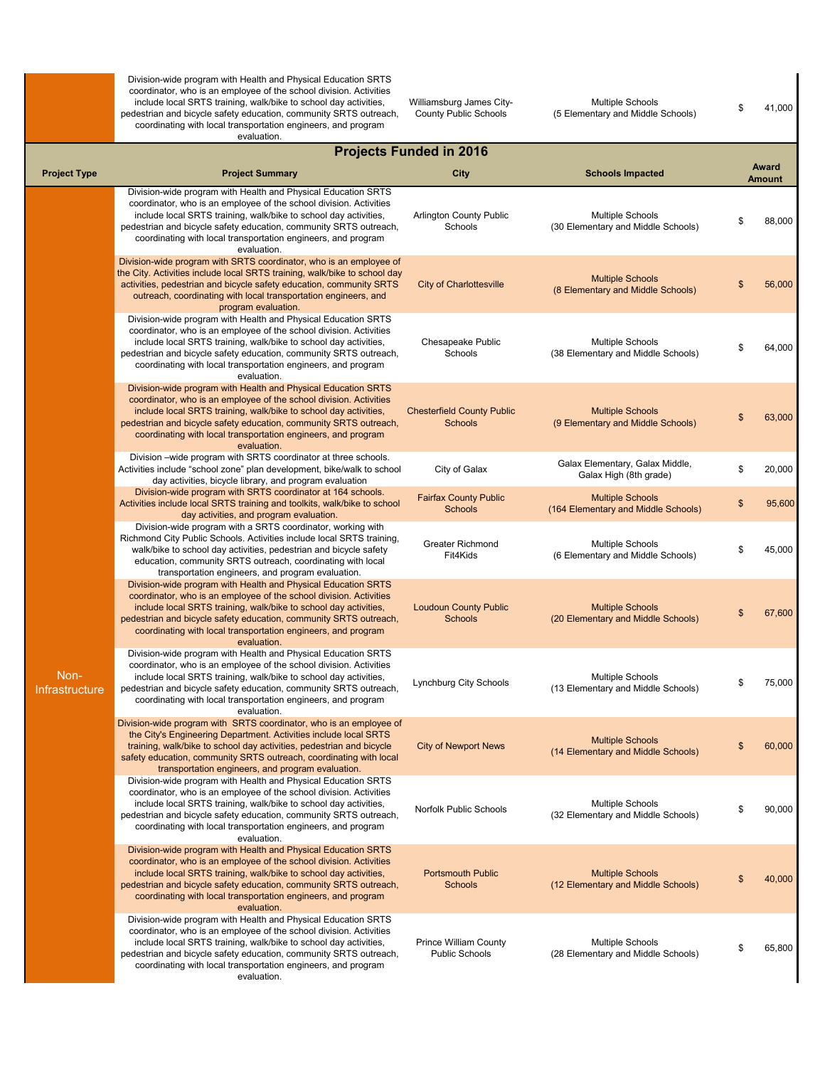<span id="page-4-0"></span>Division-wide program with Health and Physical Education SRTS coordinator, who is an employee of the school division. Activities include local SRTS training, walk/bike to school day activities, pedestrian and bicycle safety education, community SRTS outreach, coordinating with local transportation engineers, and program evaluation.

Williamsburg James City-County Public Schools

Multiple Schools (5 Elementary and Middle Schools) \$ 41,000

| <b>Projects Funded in 2016</b> |                                                                                                                                                                                                                                                                                                                                                              |                                                       |                                                                |    |                        |
|--------------------------------|--------------------------------------------------------------------------------------------------------------------------------------------------------------------------------------------------------------------------------------------------------------------------------------------------------------------------------------------------------------|-------------------------------------------------------|----------------------------------------------------------------|----|------------------------|
| <b>Project Type</b>            | <b>Project Summary</b>                                                                                                                                                                                                                                                                                                                                       | City                                                  | <b>Schools Impacted</b>                                        |    | Award<br><b>Amount</b> |
|                                | Division-wide program with Health and Physical Education SRTS<br>coordinator, who is an employee of the school division. Activities<br>include local SRTS training, walk/bike to school day activities,<br>pedestrian and bicycle safety education, community SRTS outreach,<br>coordinating with local transportation engineers, and program<br>evaluation. | <b>Arlington County Public</b><br>Schools             | <b>Multiple Schools</b><br>(30 Elementary and Middle Schools)  | \$ | 88,000                 |
|                                | Division-wide program with SRTS coordinator, who is an employee of<br>the City. Activities include local SRTS training, walk/bike to school day<br>activities, pedestrian and bicycle safety education, community SRTS<br>outreach, coordinating with local transportation engineers, and<br>program evaluation.                                             | <b>City of Charlottesville</b>                        | <b>Multiple Schools</b><br>(8 Elementary and Middle Schools)   | \$ | 56,000                 |
|                                | Division-wide program with Health and Physical Education SRTS<br>coordinator, who is an employee of the school division. Activities<br>include local SRTS training, walk/bike to school day activities,<br>pedestrian and bicycle safety education, community SRTS outreach,<br>coordinating with local transportation engineers, and program<br>evaluation. | Chesapeake Public<br>Schools                          | <b>Multiple Schools</b><br>(38 Elementary and Middle Schools)  | \$ | 64,000                 |
|                                | Division-wide program with Health and Physical Education SRTS<br>coordinator, who is an employee of the school division. Activities<br>include local SRTS training, walk/bike to school day activities,<br>pedestrian and bicycle safety education, community SRTS outreach,<br>coordinating with local transportation engineers, and program<br>evaluation. | <b>Chesterfield County Public</b><br><b>Schools</b>   | <b>Multiple Schools</b><br>(9 Elementary and Middle Schools)   | \$ | 63,000                 |
|                                | Division - wide program with SRTS coordinator at three schools.<br>Activities include "school zone" plan development, bike/walk to school<br>day activities, bicycle library, and program evaluation                                                                                                                                                         | City of Galax                                         | Galax Elementary, Galax Middle,<br>Galax High (8th grade)      | \$ | 20,000                 |
|                                | Division-wide program with SRTS coordinator at 164 schools.<br>Activities include local SRTS training and toolkits, walk/bike to school<br>day activities, and program evaluation.                                                                                                                                                                           | <b>Fairfax County Public</b><br><b>Schools</b>        | <b>Multiple Schools</b><br>(164 Elementary and Middle Schools) | \$ | 95,600                 |
|                                | Division-wide program with a SRTS coordinator, working with<br>Richmond City Public Schools. Activities include local SRTS training,<br>walk/bike to school day activities, pedestrian and bicycle safety<br>education, community SRTS outreach, coordinating with local<br>transportation engineers, and program evaluation.                                | Greater Richmond<br>Fit4Kids                          | Multiple Schools<br>(6 Elementary and Middle Schools)          | \$ | 45,000                 |
|                                | Division-wide program with Health and Physical Education SRTS<br>coordinator, who is an employee of the school division. Activities<br>include local SRTS training, walk/bike to school day activities,<br>pedestrian and bicycle safety education, community SRTS outreach,<br>coordinating with local transportation engineers, and program<br>evaluation. | <b>Loudoun County Public</b><br><b>Schools</b>        | <b>Multiple Schools</b><br>(20 Elementary and Middle Schools)  |    | 67,600                 |
| Non-<br>Infrastructure         | Division-wide program with Health and Physical Education SRTS<br>coordinator, who is an employee of the school division. Activities<br>include local SRTS training, walk/bike to school day activities,<br>pedestrian and bicycle safety education, community SRTS outreach,<br>coordinating with local transportation engineers, and program<br>evaluation. | <b>Lynchburg City Schools</b>                         | <b>Multiple Schools</b><br>(13 Elementary and Middle Schools)  | \$ | 75,000                 |
|                                | Division-wide program with SRTS coordinator, who is an employee of<br>the City's Engineering Department. Activities include local SRTS<br>training, walk/bike to school day activities, pedestrian and bicycle<br>safety education, community SRTS outreach, coordinating with local<br>transportation engineers, and program evaluation.                    | <b>City of Newport News</b>                           | <b>Multiple Schools</b><br>(14 Elementary and Middle Schools)  |    | 60,000                 |
|                                | Division-wide program with Health and Physical Education SRTS<br>coordinator, who is an employee of the school division. Activities<br>include local SRTS training, walk/bike to school day activities,<br>pedestrian and bicycle safety education, community SRTS outreach,<br>coordinating with local transportation engineers, and program<br>evaluation. | Norfolk Public Schools                                | Multiple Schools<br>(32 Elementary and Middle Schools)         | \$ | 90,000                 |
|                                | Division-wide program with Health and Physical Education SRTS<br>coordinator, who is an employee of the school division. Activities<br>include local SRTS training, walk/bike to school day activities,<br>pedestrian and bicycle safety education, community SRTS outreach,<br>coordinating with local transportation engineers, and program<br>evaluation. | <b>Portsmouth Public</b><br><b>Schools</b>            | <b>Multiple Schools</b><br>(12 Elementary and Middle Schools)  |    | 40,000                 |
|                                | Division-wide program with Health and Physical Education SRTS<br>coordinator, who is an employee of the school division. Activities<br>include local SRTS training, walk/bike to school day activities,<br>pedestrian and bicycle safety education, community SRTS outreach,<br>coordinating with local transportation engineers, and program<br>evaluation. | <b>Prince William County</b><br><b>Public Schools</b> | Multiple Schools<br>(28 Elementary and Middle Schools)         | \$ | 65,800                 |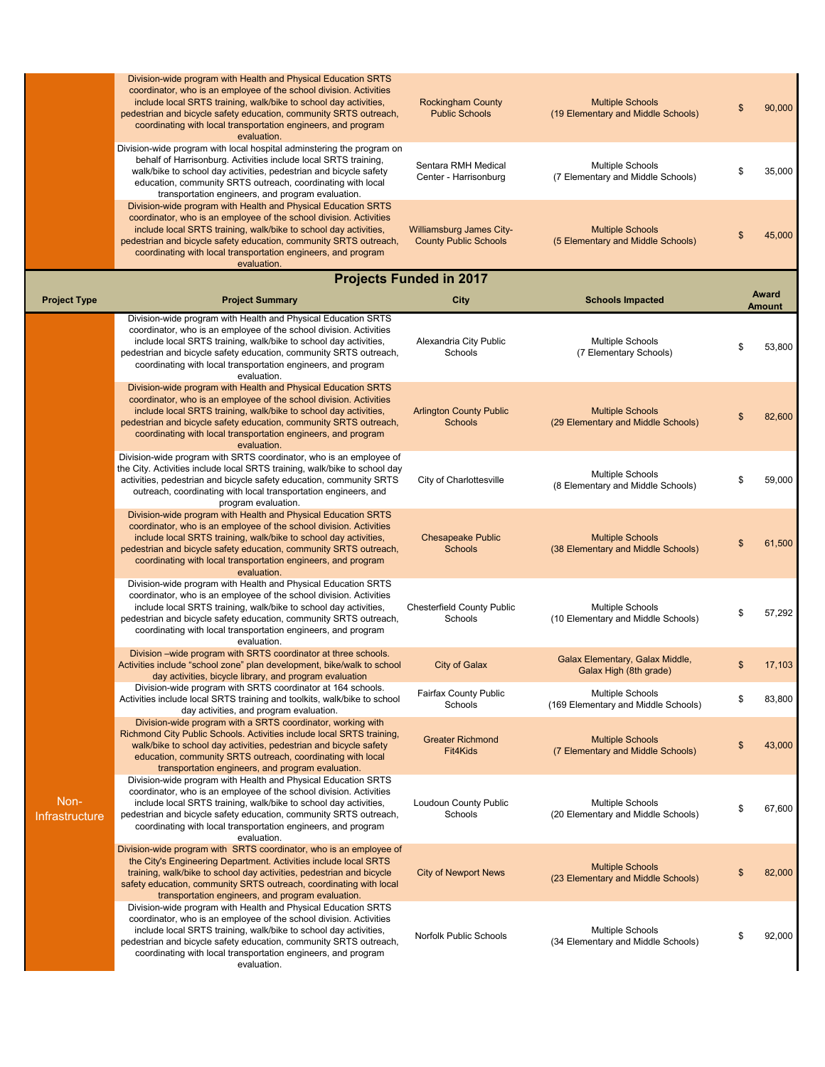<span id="page-5-0"></span>

|                        | Division-wide program with Health and Physical Education SRTS<br>coordinator, who is an employee of the school division. Activities<br>include local SRTS training, walk/bike to school day activities,<br>pedestrian and bicycle safety education, community SRTS outreach,<br>coordinating with local transportation engineers, and program<br>evaluation. | <b>Rockingham County</b><br><b>Public Schools</b>               | <b>Multiple Schools</b><br>(19 Elementary and Middle Schools)  | \$<br>90,000  |
|------------------------|--------------------------------------------------------------------------------------------------------------------------------------------------------------------------------------------------------------------------------------------------------------------------------------------------------------------------------------------------------------|-----------------------------------------------------------------|----------------------------------------------------------------|---------------|
|                        | Division-wide program with local hospital adminstering the program on<br>behalf of Harrisonburg. Activities include local SRTS training,<br>walk/bike to school day activities, pedestrian and bicycle safety<br>education, community SRTS outreach, coordinating with local<br>transportation engineers, and program evaluation.                            | Sentara RMH Medical<br>Center - Harrisonburg                    | <b>Multiple Schools</b><br>(7 Elementary and Middle Schools)   | \$<br>35,000  |
|                        | Division-wide program with Health and Physical Education SRTS<br>coordinator, who is an employee of the school division. Activities<br>include local SRTS training, walk/bike to school day activities,<br>pedestrian and bicycle safety education, community SRTS outreach,<br>coordinating with local transportation engineers, and program<br>evaluation. | <b>Williamsburg James City-</b><br><b>County Public Schools</b> | <b>Multiple Schools</b><br>(5 Elementary and Middle Schools)   | \$<br>45,000  |
|                        |                                                                                                                                                                                                                                                                                                                                                              | <b>Projects Funded in 2017</b>                                  |                                                                | <b>Award</b>  |
| <b>Project Type</b>    | <b>Project Summary</b>                                                                                                                                                                                                                                                                                                                                       | City                                                            | <b>Schools Impacted</b>                                        | <b>Amount</b> |
|                        | Division-wide program with Health and Physical Education SRTS<br>coordinator, who is an employee of the school division. Activities<br>include local SRTS training, walk/bike to school day activities,<br>pedestrian and bicycle safety education, community SRTS outreach,<br>coordinating with local transportation engineers, and program<br>evaluation. | Alexandria City Public<br>Schools                               | <b>Multiple Schools</b><br>(7 Elementary Schools)              | \$<br>53,800  |
|                        | Division-wide program with Health and Physical Education SRTS<br>coordinator, who is an employee of the school division. Activities<br>include local SRTS training, walk/bike to school day activities,<br>pedestrian and bicycle safety education, community SRTS outreach,<br>coordinating with local transportation engineers, and program<br>evaluation. | <b>Arlington County Public</b><br>Schools                       | <b>Multiple Schools</b><br>(29 Elementary and Middle Schools)  | \$<br>82,600  |
|                        | Division-wide program with SRTS coordinator, who is an employee of<br>the City. Activities include local SRTS training, walk/bike to school day<br>activities, pedestrian and bicycle safety education, community SRTS<br>outreach, coordinating with local transportation engineers, and<br>program evaluation.                                             | City of Charlottesville                                         | <b>Multiple Schools</b><br>(8 Elementary and Middle Schools)   | \$<br>59,000  |
|                        | Division-wide program with Health and Physical Education SRTS<br>coordinator, who is an employee of the school division. Activities<br>include local SRTS training, walk/bike to school day activities,<br>pedestrian and bicycle safety education, community SRTS outreach,<br>coordinating with local transportation engineers, and program<br>evaluation. | <b>Chesapeake Public</b><br><b>Schools</b>                      | <b>Multiple Schools</b><br>(38 Elementary and Middle Schools)  | \$<br>61,500  |
|                        | Division-wide program with Health and Physical Education SRTS<br>coordinator, who is an employee of the school division. Activities<br>include local SRTS training, walk/bike to school day activities,<br>pedestrian and bicycle safety education, community SRTS outreach,<br>coordinating with local transportation engineers, and program<br>evaluation. | <b>Chesterfield County Public</b><br>Schools                    | <b>Multiple Schools</b><br>(10 Elementary and Middle Schools)  | \$<br>57,292  |
|                        | Division - wide program with SRTS coordinator at three schools.<br>Activities include "school zone" plan development, bike/walk to school<br>day activities, bicycle library, and program evaluation                                                                                                                                                         | <b>City of Galax</b>                                            | Galax Elementary, Galax Middle,<br>Galax High (8th grade)      | \$<br>17,103  |
|                        | Division-wide program with SRTS coordinator at 164 schools.<br>Activities include local SRTS training and toolkits, walk/bike to school<br>day activities, and program evaluation.                                                                                                                                                                           | Fairfax County Public<br>Schools                                | <b>Multiple Schools</b><br>(169 Elementary and Middle Schools) | \$<br>83,800  |
|                        | Division-wide program with a SRTS coordinator, working with<br>Richmond City Public Schools. Activities include local SRTS training,<br>walk/bike to school day activities, pedestrian and bicycle safety<br>education, community SRTS outreach, coordinating with local<br>transportation engineers, and program evaluation.                                | <b>Greater Richmond</b><br>Fit4Kids                             | <b>Multiple Schools</b><br>(7 Elementary and Middle Schools)   | \$<br>43,000  |
| Non-<br>Infrastructure | Division-wide program with Health and Physical Education SRTS<br>coordinator, who is an employee of the school division. Activities<br>include local SRTS training, walk/bike to school day activities,<br>pedestrian and bicycle safety education, community SRTS outreach,<br>coordinating with local transportation engineers, and program<br>evaluation. | <b>Loudoun County Public</b><br>Schools                         | <b>Multiple Schools</b><br>(20 Elementary and Middle Schools)  | \$<br>67,600  |
|                        | Division-wide program with SRTS coordinator, who is an employee of<br>the City's Engineering Department. Activities include local SRTS<br>training, walk/bike to school day activities, pedestrian and bicycle<br>safety education, community SRTS outreach, coordinating with local<br>transportation engineers, and program evaluation.                    | <b>City of Newport News</b>                                     | <b>Multiple Schools</b><br>(23 Elementary and Middle Schools)  | \$<br>82,000  |
|                        | Division-wide program with Health and Physical Education SRTS<br>coordinator, who is an employee of the school division. Activities<br>include local SRTS training, walk/bike to school day activities,<br>pedestrian and bicycle safety education, community SRTS outreach,<br>coordinating with local transportation engineers, and program<br>evaluation. | Norfolk Public Schools                                          | <b>Multiple Schools</b><br>(34 Elementary and Middle Schools)  | \$<br>92,000  |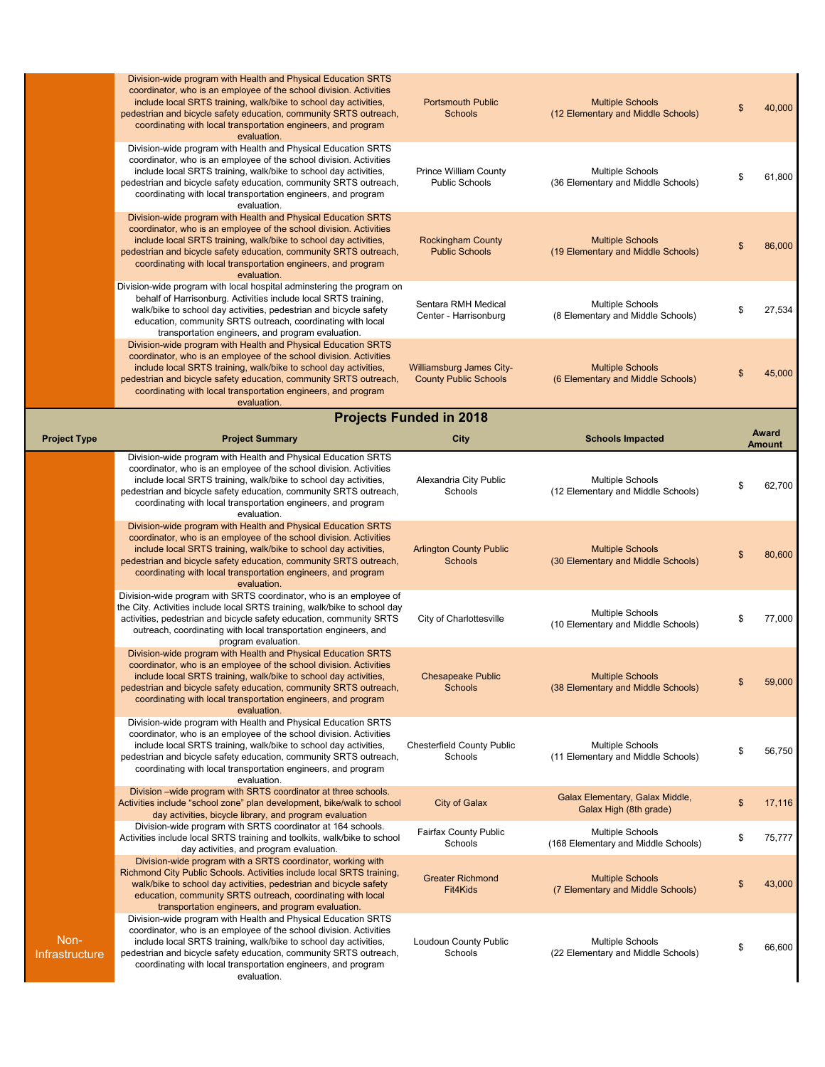<span id="page-6-0"></span>

|                       | Division-wide program with Health and Physical Education SRTS<br>coordinator, who is an employee of the school division. Activities<br>include local SRTS training, walk/bike to school day activities,<br>pedestrian and bicycle safety education, community SRTS outreach,<br>coordinating with local transportation engineers, and program<br>evaluation.             | <b>Portsmouth Public</b><br><b>Schools</b>                      | <b>Multiple Schools</b><br>(12 Elementary and Middle Schools)  |    | 40,000                        |
|-----------------------|--------------------------------------------------------------------------------------------------------------------------------------------------------------------------------------------------------------------------------------------------------------------------------------------------------------------------------------------------------------------------|-----------------------------------------------------------------|----------------------------------------------------------------|----|-------------------------------|
|                       | Division-wide program with Health and Physical Education SRTS<br>coordinator, who is an employee of the school division. Activities<br>include local SRTS training, walk/bike to school day activities,<br>pedestrian and bicycle safety education, community SRTS outreach,<br>coordinating with local transportation engineers, and program<br>evaluation.             | <b>Prince William County</b><br><b>Public Schools</b>           | <b>Multiple Schools</b><br>(36 Elementary and Middle Schools)  | \$ | 61,800                        |
|                       | Division-wide program with Health and Physical Education SRTS<br>coordinator, who is an employee of the school division. Activities<br>include local SRTS training, walk/bike to school day activities,<br>pedestrian and bicycle safety education, community SRTS outreach,<br>coordinating with local transportation engineers, and program<br>evaluation.             | <b>Rockingham County</b><br><b>Public Schools</b>               | <b>Multiple Schools</b><br>(19 Elementary and Middle Schools)  | \$ | 86,000                        |
|                       | Division-wide program with local hospital adminstering the program on<br>behalf of Harrisonburg. Activities include local SRTS training,<br>walk/bike to school day activities, pedestrian and bicycle safety<br>education, community SRTS outreach, coordinating with local<br>transportation engineers, and program evaluation.                                        | Sentara RMH Medical<br>Center - Harrisonburg                    | <b>Multiple Schools</b><br>(8 Elementary and Middle Schools)   | \$ | 27,534                        |
|                       | Division-wide program with Health and Physical Education SRTS<br>coordinator, who is an employee of the school division. Activities<br>include local SRTS training, walk/bike to school day activities,<br>pedestrian and bicycle safety education, community SRTS outreach,<br>coordinating with local transportation engineers, and program<br>evaluation.             | <b>Williamsburg James City-</b><br><b>County Public Schools</b> | <b>Multiple Schools</b><br>(6 Elementary and Middle Schools)   | S  | 45,000                        |
|                       |                                                                                                                                                                                                                                                                                                                                                                          | <b>Projects Funded in 2018</b>                                  |                                                                |    |                               |
| <b>Project Type</b>   | <b>Project Summary</b>                                                                                                                                                                                                                                                                                                                                                   | City                                                            | <b>Schools Impacted</b>                                        |    | <b>Award</b><br><b>Amount</b> |
|                       | Division-wide program with Health and Physical Education SRTS<br>coordinator, who is an employee of the school division. Activities<br>include local SRTS training, walk/bike to school day activities,<br>pedestrian and bicycle safety education, community SRTS outreach,<br>coordinating with local transportation engineers, and program<br>evaluation.             | Alexandria City Public<br>Schools                               | <b>Multiple Schools</b><br>(12 Elementary and Middle Schools)  | S  | 62,700                        |
|                       | Division-wide program with Health and Physical Education SRTS<br>coordinator, who is an employee of the school division. Activities<br>include local SRTS training, walk/bike to school day activities,<br>pedestrian and bicycle safety education, community SRTS outreach,<br>coordinating with local transportation engineers, and program<br>evaluation.             | <b>Arlington County Public</b><br><b>Schools</b>                | <b>Multiple Schools</b><br>(30 Elementary and Middle Schools)  | \$ | 80,600                        |
|                       | Division-wide program with SRTS coordinator, who is an employee of<br>the City. Activities include local SRTS training, walk/bike to school day<br>activities, pedestrian and bicycle safety education, community SRTS<br>outreach, coordinating with local transportation engineers, and<br>program evaluation.                                                         | City of Charlottesville                                         | <b>Multiple Schools</b><br>(10 Elementary and Middle Schools)  | \$ | 77,000                        |
|                       | Division-wide program with Health and Physical Education SRTS<br>coordinator, who is an employee of the school division. Activities<br>include local SRTS training, walk/bike to school day activities,<br>pedestrian and bicycle safety education, community SRTS outreach,<br>coordinating with local transportation engineers, and program<br>evaluation.             | <b>Chesapeake Public</b><br>Schools                             | <b>Multiple Schools</b><br>(38 Elementary and Middle Schools)  | \$ | 59,000                        |
|                       | Division-wide program with Health and Physical Education SRTS<br>coordinator, who is an employee of the school division. Activities<br>include local SRTS training, walk/bike to school day activities,<br>pedestrian and bicycle safety education, community SRTS outreach,<br>coordinating with local transportation engineers, and program<br>evaluation.             | <b>Chesterfield County Public</b><br>Schools                    | <b>Multiple Schools</b><br>(11 Elementary and Middle Schools)  | \$ | 56,750                        |
|                       | Division – wide program with SRTS coordinator at three schools.<br>Activities include "school zone" plan development, bike/walk to school                                                                                                                                                                                                                                | <b>City of Galax</b>                                            | Galax Elementary, Galax Middle,<br>Galax High (8th grade)      | \$ | 17,116                        |
|                       | day activities, bicycle library, and program evaluation<br>Division-wide program with SRTS coordinator at 164 schools.<br>Activities include local SRTS training and toolkits, walk/bike to school                                                                                                                                                                       | Fairfax County Public<br>Schools                                | <b>Multiple Schools</b><br>(168 Elementary and Middle Schools) | \$ | 75,777                        |
|                       | day activities, and program evaluation.<br>Division-wide program with a SRTS coordinator, working with<br>Richmond City Public Schools. Activities include local SRTS training,<br>walk/bike to school day activities, pedestrian and bicycle safety<br>education, community SRTS outreach, coordinating with local<br>transportation engineers, and program evaluation. | <b>Greater Richmond</b><br>Fit4Kids                             | <b>Multiple Schools</b><br>(7 Elementary and Middle Schools)   | \$ | 43,000                        |
| Non-<br>nfrastructure | Division-wide program with Health and Physical Education SRTS<br>coordinator, who is an employee of the school division. Activities<br>include local SRTS training, walk/bike to school day activities,<br>pedestrian and bicycle safety education, community SRTS outreach,<br>coordinating with local transportation engineers, and program<br>evaluation.             | <b>Loudoun County Public</b><br>Schools                         | <b>Multiple Schools</b><br>(22 Elementary and Middle Schools)  | S  | 66,600                        |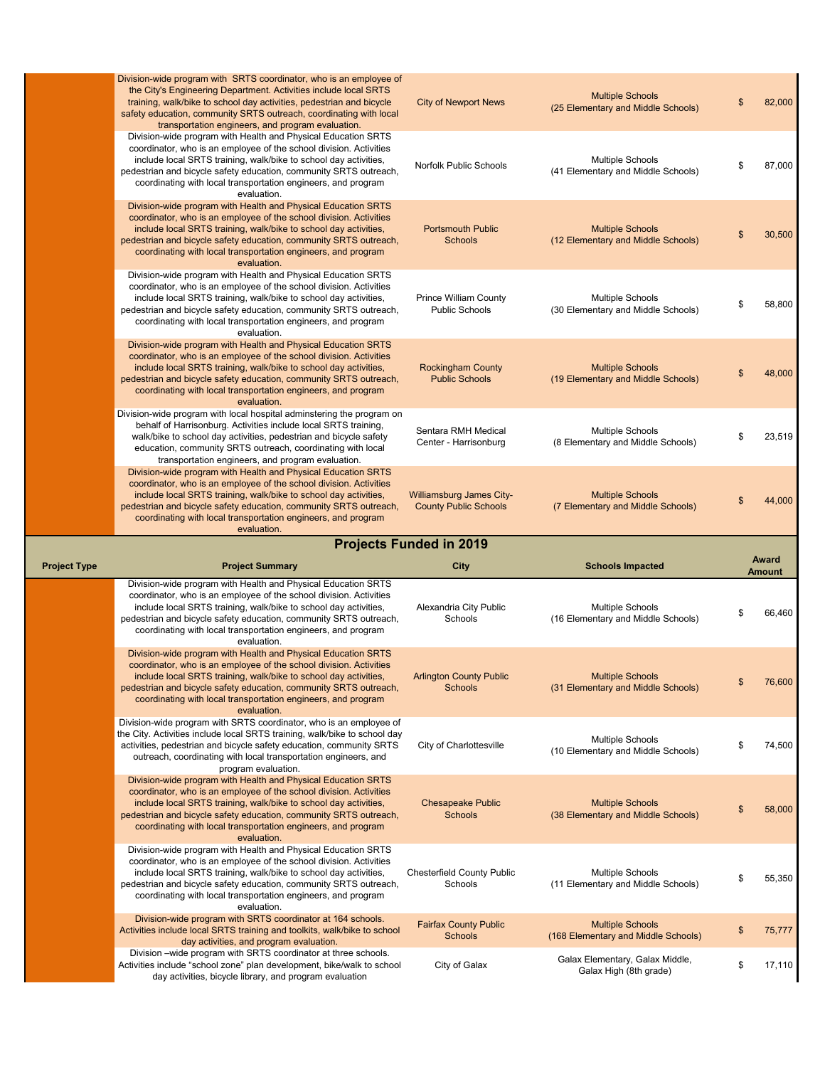<span id="page-7-0"></span>

|              | Division-wide program with SRTS coordinator, who is an employee of<br>the City's Engineering Department. Activities include local SRTS<br>training, walk/bike to school day activities, pedestrian and bicycle<br>safety education, community SRTS outreach, coordinating with local<br>transportation engineers, and program evaluation.                    | <b>City of Newport News</b>                                     | <b>Multiple Schools</b><br>(25 Elementary and Middle Schools)  | \$ | 82,000                 |
|--------------|--------------------------------------------------------------------------------------------------------------------------------------------------------------------------------------------------------------------------------------------------------------------------------------------------------------------------------------------------------------|-----------------------------------------------------------------|----------------------------------------------------------------|----|------------------------|
|              | Division-wide program with Health and Physical Education SRTS<br>coordinator, who is an employee of the school division. Activities<br>include local SRTS training, walk/bike to school day activities,<br>pedestrian and bicycle safety education, community SRTS outreach,<br>coordinating with local transportation engineers, and program<br>evaluation. | Norfolk Public Schools                                          | <b>Multiple Schools</b><br>(41 Elementary and Middle Schools)  | \$ | 87,000                 |
|              | Division-wide program with Health and Physical Education SRTS<br>coordinator, who is an employee of the school division. Activities<br>include local SRTS training, walk/bike to school day activities,<br>pedestrian and bicycle safety education, community SRTS outreach,<br>coordinating with local transportation engineers, and program<br>evaluation. | <b>Portsmouth Public</b><br><b>Schools</b>                      | <b>Multiple Schools</b><br>(12 Elementary and Middle Schools)  | S  | 30,500                 |
|              | Division-wide program with Health and Physical Education SRTS<br>coordinator, who is an employee of the school division. Activities<br>include local SRTS training, walk/bike to school day activities,<br>pedestrian and bicycle safety education, community SRTS outreach,<br>coordinating with local transportation engineers, and program<br>evaluation. | <b>Prince William County</b><br><b>Public Schools</b>           | <b>Multiple Schools</b><br>(30 Elementary and Middle Schools)  | \$ | 58,800                 |
|              | Division-wide program with Health and Physical Education SRTS<br>coordinator, who is an employee of the school division. Activities<br>include local SRTS training, walk/bike to school day activities,<br>pedestrian and bicycle safety education, community SRTS outreach,<br>coordinating with local transportation engineers, and program<br>evaluation. | <b>Rockingham County</b><br><b>Public Schools</b>               | <b>Multiple Schools</b><br>(19 Elementary and Middle Schools)  | \$ | 48,000                 |
|              | Division-wide program with local hospital adminstering the program on<br>behalf of Harrisonburg. Activities include local SRTS training,<br>walk/bike to school day activities, pedestrian and bicycle safety<br>education, community SRTS outreach, coordinating with local<br>transportation engineers, and program evaluation.                            | Sentara RMH Medical<br>Center - Harrisonburg                    | <b>Multiple Schools</b><br>(8 Elementary and Middle Schools)   | \$ | 23,519                 |
|              | Division-wide program with Health and Physical Education SRTS<br>coordinator, who is an employee of the school division. Activities<br>include local SRTS training, walk/bike to school day activities,<br>pedestrian and bicycle safety education, community SRTS outreach,<br>coordinating with local transportation engineers, and program                | <b>Williamsburg James City-</b><br><b>County Public Schools</b> | <b>Multiple Schools</b><br>(7 Elementary and Middle Schools)   |    | 44,000                 |
|              | evaluation.                                                                                                                                                                                                                                                                                                                                                  |                                                                 |                                                                |    |                        |
|              |                                                                                                                                                                                                                                                                                                                                                              | <b>Projects Funded in 2019</b>                                  |                                                                |    |                        |
| Project Type | <b>Project Summary</b>                                                                                                                                                                                                                                                                                                                                       | City                                                            | <b>Schools Impacted</b>                                        |    | Award<br><b>Amount</b> |
|              | Division-wide program with Health and Physical Education SRTS<br>coordinator, who is an employee of the school division. Activities<br>include local SRTS training, walk/bike to school day activities,<br>pedestrian and bicycle safety education, community SRTS outreach,<br>coordinating with local transportation engineers, and program<br>evaluation. | Alexandria City Public<br>Schools                               | <b>Multiple Schools</b><br>(16 Elementary and Middle Schools)  | \$ | 66,460                 |
|              | Division-wide program with Health and Physical Education SRTS<br>coordinator, who is an employee of the school division. Activities<br>include local SRTS training, walk/bike to school day activities,<br>pedestrian and bicycle safety education, community SRTS outreach,<br>coordinating with local transportation engineers, and program                | <b>Arlington County Public</b><br><b>Schools</b>                | <b>Multiple Schools</b><br>(31 Elementary and Middle Schools)  | \$ | 76,600                 |
|              | evaluation.<br>Division-wide program with SRTS coordinator, who is an employee of<br>the City. Activities include local SRTS training, walk/bike to school day<br>activities, pedestrian and bicycle safety education, community SRTS<br>outreach, coordinating with local transportation engineers, and<br>program evaluation.                              | City of Charlottesville                                         | <b>Multiple Schools</b><br>(10 Elementary and Middle Schools)  | \$ | 74,500                 |
|              | Division-wide program with Health and Physical Education SRTS<br>coordinator, who is an employee of the school division. Activities<br>include local SRTS training, walk/bike to school day activities,<br>pedestrian and bicycle safety education, community SRTS outreach,<br>coordinating with local transportation engineers, and program<br>evaluation. | <b>Chesapeake Public</b><br><b>Schools</b>                      | <b>Multiple Schools</b><br>(38 Elementary and Middle Schools)  | \$ | 58,000                 |
|              | Division-wide program with Health and Physical Education SRTS<br>coordinator, who is an employee of the school division. Activities<br>include local SRTS training, walk/bike to school day activities,<br>pedestrian and bicycle safety education, community SRTS outreach,<br>coordinating with local transportation engineers, and program<br>evaluation. | <b>Chesterfield County Public</b><br>Schools                    | <b>Multiple Schools</b><br>(11 Elementary and Middle Schools)  | \$ | 55,350                 |
|              | Division-wide program with SRTS coordinator at 164 schools.<br>Activities include local SRTS training and toolkits, walk/bike to school<br>day activities, and program evaluation.                                                                                                                                                                           | <b>Fairfax County Public</b><br><b>Schools</b>                  | <b>Multiple Schools</b><br>(168 Elementary and Middle Schools) | \$ | 75,777                 |